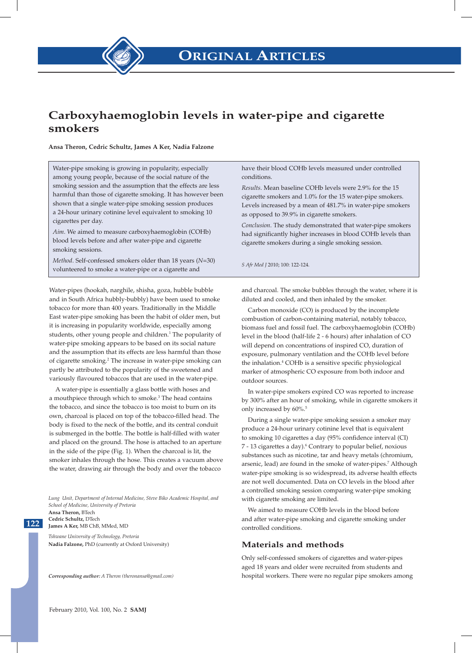# **Carboxyhaemoglobin levels in water-pipe and cigarette smokers**

**Ansa Theron, Cedric Schultz, James A Ker, Nadia Falzone**

Water-pipe smoking is growing in popularity, especially among young people, because of the social nature of the smoking session and the assumption that the effects are less harmful than those of cigarette smoking. It has however been shown that a single water-pipe smoking session produces a 24-hour urinary cotinine level equivalent to smoking 10 cigarettes per day.

*Aim*. We aimed to measure carboxyhaemoglobin (COHb) blood levels before and after water-pipe and cigarette smoking sessions.

*Method*. Self-confessed smokers older than 18 years (*N*=30) volunteered to smoke a water-pipe or a cigarette and

Water-pipes (hookah, narghile, shisha, goza, hubble bubble and in South Africa hubbly-bubbly) have been used to smoke tobacco for more than 400 years. Traditionally in the Middle East water-pipe smoking has been the habit of older men, but it is increasing in popularity worldwide, especially among students, other young people and children.<sup>1</sup> The popularity of water-pipe smoking appears to be based on its social nature and the assumption that its effects are less harmful than those of cigarette smoking.<sup>2</sup> The increase in water-pipe smoking can partly be attributed to the popularity of the sweetened and variously flavoured tobaccos that are used in the water-pipe.

A water-pipe is essentially a glass bottle with hoses and a mouthpiece through which to smoke.<sup>3</sup> The head contains the tobacco, and since the tobacco is too moist to burn on its own, charcoal is placed on top of the tobacco-filled head. The body is fixed to the neck of the bottle, and its central conduit is submerged in the bottle. The bottle is half-filled with water and placed on the ground. The hose is attached to an aperture in the side of the pipe (Fig. 1). When the charcoal is lit, the smoker inhales through the hose. This creates a vacuum above the water, drawing air through the body and over the tobacco

*Lung Unit, Department of Internal Medicine, Steve Biko Academic Hospital, and School of Medicine, University of Pretoria*  **Ansa Theron,** BTech **Cedric Schultz,** DTech **James A Ker,** MB ChB, MMed, MD

*Tshwane University of Technology, Pretoria*  **Nadia Falzone,** PhD (currently at Oxford University)

**122 122**

*Corresponding author: A Theron (theronansa@gmail.com)*

have their blood COHb levels measured under controlled conditions.

*Results*. Mean baseline COHb levels were 2.9% for the 15 cigarette smokers and 1.0% for the 15 water-pipe smokers. Levels increased by a mean of 481.7% in water-pipe smokers as opposed to 39.9% in cigarette smokers.

*Conclusion*. The study demonstrated that water-pipe smokers had significantly higher increases in blood COHb levels than cigarette smokers during a single smoking session.

*S Afr Med J* 2010; 100: 122-124.

and charcoal. The smoke bubbles through the water, where it is diluted and cooled, and then inhaled by the smoker.

Carbon monoxide (CO) is produced by the incomplete combustion of carbon-containing material, notably tobacco, biomass fuel and fossil fuel. The carboxyhaemoglobin (COHb) level in the blood (half-life 2 - 6 hours) after inhalation of CO will depend on concentrations of inspired CO, duration of exposure, pulmonary ventilation and the COHb level before the inhalation.4 COHb is a sensitive specific physiological marker of atmospheric CO exposure from both indoor and outdoor sources.

In water-pipe smokers expired CO was reported to increase by 300% after an hour of smoking, while in cigarette smokers it only increased by  $60\%$ .<sup>5</sup>

During a single water-pipe smoking session a smoker may produce a 24-hour urinary cotinine level that is equivalent to smoking 10 cigarettes a day (95% confidence interval (CI) 7 - 13 cigarettes a day).<sup>6</sup> Contrary to popular belief, noxious substances such as nicotine, tar and heavy metals (chromium, arsenic, lead) are found in the smoke of water-pipes.<sup>7</sup> Although water-pipe smoking is so widespread, its adverse health effects are not well documented. Data on CO levels in the blood after a controlled smoking session comparing water-pipe smoking with cigarette smoking are limited.

We aimed to measure COHb levels in the blood before and after water-pipe smoking and cigarette smoking under controlled conditions.

#### **Materials and methods**

Only self-confessed smokers of cigarettes and water-pipes aged 18 years and older were recruited from students and hospital workers. There were no regular pipe smokers among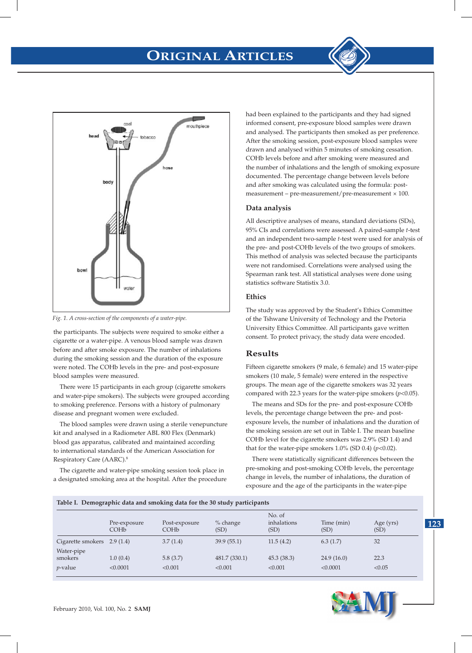



*Fig. 1. A cross-section of the components of a water-pipe.*

the participants. The subjects were required to smoke either a cigarette or a water-pipe. A venous blood sample was drawn *Fig. 1. A cross-section of the components of a water-pipe .* before and after smoke exposure. The number of inhalations during the smoking session and the duration of the exposure were noted. The COHb levels in the pre- and post-exposure blood samples were measured.

> There were 15 participants in each group (cigarette smokers and water-pipe smokers). The subjects were grouped according to smoking preference. Persons with a history of pulmonary disease and pregnant women were excluded.

> The blood samples were drawn using a sterile venepuncture kit and analysed in a Radiometer ABL 800 Flex (Denmark) blood gas apparatus, calibrated and maintained according to international standards of the American Association for Respiratory Care (AARC).8

> The cigarette and water-pipe smoking session took place in a designated smoking area at the hospital. After the procedure

had been explained to the participants and they had signed informed consent, pre-exposure blood samples were drawn and analysed. The participants then smoked as per preference. After the smoking session, post-exposure blood samples were drawn and analysed within 5 minutes of smoking cessation. COHb levels before and after smoking were measured and the number of inhalations and the length of smoking exposure documented. The percentage change between levels before and after smoking was calculated using the formula: postmeasurement – pre-measurement/pre-measurement  $\times$  100.

## **Data analysis**

All descriptive analyses of means, standard deviations (SDs), 95% CIs and correlations were assessed. A paired-sample *t*-test and an independent two-sample *t*-test were used for analysis of the pre- and post-COHb levels of the two groups of smokers. This method of analysis was selected because the participants were not randomised. Correlations were analysed using the Spearman rank test. All statistical analyses were done using statistics software Statistix 3.0.

### **Ethics**

The study was approved by the Student's Ethics Committee of the Tshwane University of Technology and the Pretoria University Ethics Committee. All participants gave written consent. To protect privacy, the study data were encoded.

# **Results**

Fifteen cigarette smokers (9 male, 6 female) and 15 water-pipe smokers (10 male, 5 female) were entered in the respective groups. The mean age of the cigarette smokers was 32 years compared with 22.3 years for the water-pipe smokers (*p*<0.05).

The means and SDs for the pre- and post-exposure COHb levels, the percentage change between the pre- and postexposure levels, the number of inhalations and the duration of the smoking session are set out in Table I. The mean baseline COHb level for the cigarette smokers was 2.9% (SD 1.4) and that for the water-pipe smokers  $1.0\%$  (SD 0.4) ( $p<0.02$ ).

There were statistically significant differences between the pre-smoking and post-smoking COHb levels, the percentage change in levels, the number of inhalations, the duration of exposure and the age of the participants in the water-pipe

| Table I. Demographic data and smoking data for the 30 study participants |                                  |                                   |                          |                               |                        |                   |
|--------------------------------------------------------------------------|----------------------------------|-----------------------------------|--------------------------|-------------------------------|------------------------|-------------------|
|                                                                          | Pre-exposure<br>COH <sub>b</sub> | Post-exposure<br>COH <sub>b</sub> | $%$ change<br>(SD)       | No. of<br>inhalations<br>(SD) | Time (min)<br>(SD)     | Age (yrs)<br>(SD) |
| Cigarette smokers $2.9(1.4)$                                             |                                  | 3.7(1.4)                          | 39.9(55.1)               | 11.5(4.2)                     | 6.3(1.7)               | 32                |
| Water-pipe<br>smokers<br>$p$ -value                                      | 1.0(0.4)<br>< 0.0001             | 5.8(3.7)<br>< 0.001               | 481.7 (330.1)<br>< 0.001 | 45.3(38.3)<br>< 0.001         | 24.9(16.0)<br>< 0.0001 | 22.3<br>< 0.05    |



**123**